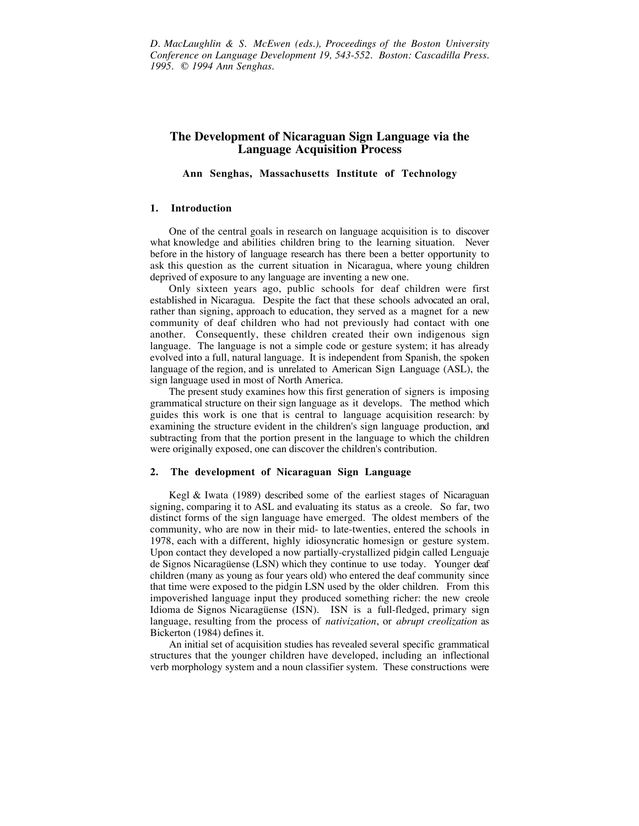*D. MacLaughlin & S. McEwen (eds.), Proceedings of the Boston University Conference on Language Development 19, 543-552. Boston: Cascadilla Press. 1995. © 1994 Ann Senghas.*

# **The Development of Nicaraguan Sign Language via the Language Acquisition Process**

**Ann Senghas, Massachusetts Institute of Technology**

### **1. Introduction**

One of the central goals in research on language acquisition is to discover what knowledge and abilities children bring to the learning situation. Never before in the history of language research has there been a better opportunity to ask this question as the current situation in Nicaragua, where young children deprived of exposure to any language are inventing a new one.

Only sixteen years ago, public schools for deaf children were first established in Nicaragua. Despite the fact that these schools advocated an oral, rather than signing, approach to education, they served as a magnet for a new community of deaf children who had not previously had contact with one another. Consequently, these children created their own indigenous sign language. The language is not a simple code or gesture system; it has already evolved into a full, natural language. It is independent from Spanish, the spoken language of the region, and is unrelated to American Sign Language (ASL), the sign language used in most of North America.

The present study examines how this first generation of signers is imposing grammatical structure on their sign language as it develops. The method which guides this work is one that is central to language acquisition research: by examining the structure evident in the children's sign language production, and subtracting from that the portion present in the language to which the children were originally exposed, one can discover the children's contribution.

### **2. The development of Nicaraguan Sign Language**

Kegl & Iwata (1989) described some of the earliest stages of Nicaraguan signing, comparing it to ASL and evaluating its status as a creole. So far, two distinct forms of the sign language have emerged. The oldest members of the community, who are now in their mid- to late-twenties, entered the schools in 1978, each with a different, highly idiosyncratic homesign or gesture system. Upon contact they developed a now partially-crystallized pidgin called Lenguaje de Signos Nicaragüense (LSN) which they continue to use today. Younger deaf children (many as young as four years old) who entered the deaf community since that time were exposed to the pidgin LSN used by the older children. From this impoverished language input they produced something richer: the new creole Idioma de Signos Nicaragüense (ISN). ISN is a full-fledged, primary sign language, resulting from the process of *nativization*, or *abrupt creolization* as Bickerton (1984) defines it.

An initial set of acquisition studies has revealed several specific grammatical structures that the younger children have developed, including an inflectional verb morphology system and a noun classifier system. These constructions were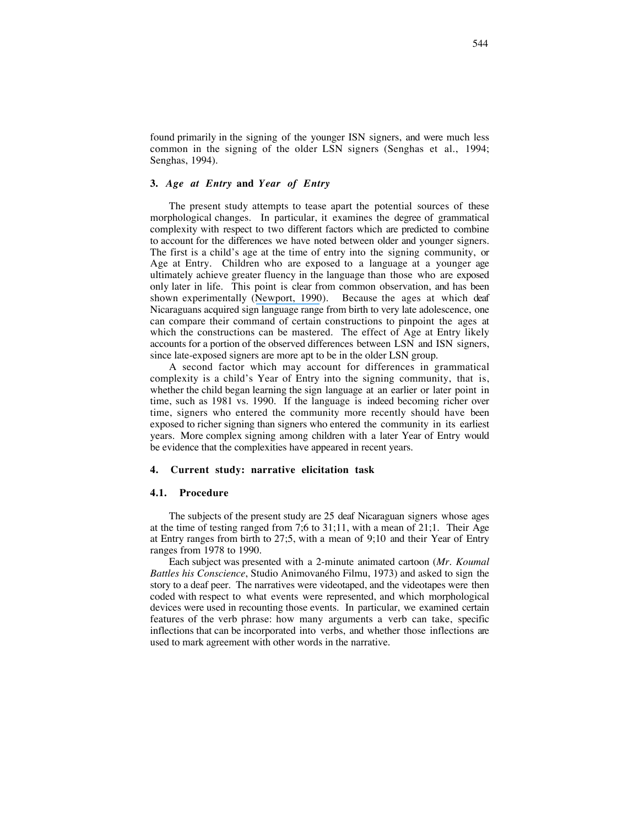found primarily in the signing of the younger ISN signers, and were much less common in the signing of the older LSN signers (Senghas et al., 1994; Senghas, 1994).

## **3.** *Age at Entry* **and** *Year of Entry*

The present study attempts to tease apart the potential sources of these morphological changes. In particular, it examines the degree of grammatical complexity with respect to two different factors which are predicted to combine to account for the differences we have noted between older and younger signers. The first is a child's age at the time of entry into the signing community, or Age at Entry. Children who are exposed to a language at a younger age ultimately achieve greater fluency in the language than those who are exposed only later in life. This point is clear from common observation, and has been shown experimentally ([Newport, 1990](https://www.researchgate.net/publication/221950701_Maturational_Constraints_on_Language_Learning?el=1_x_8&enrichId=rgreq-46cde031a4e677aeb1364b187bdb0937-XXX&enrichSource=Y292ZXJQYWdlOzI2MDExODMxNztBUzoxODI2MTEyMDA3MTY4MDBAMTQyMDU0OTMxMTcyMQ==)). Because the ages at which deaf Nicaraguans acquired sign language range from birth to very late adolescence, one can compare their command of certain constructions to pinpoint the ages at which the constructions can be mastered. The effect of Age at Entry likely accounts for a portion of the observed differences between LSN and ISN signers, since late-exposed signers are more apt to be in the older LSN group.

A second factor which may account for differences in grammatical complexity is a child's Year of Entry into the signing community, that is, whether the child began learning the sign language at an earlier or later point in time, such as 1981 vs. 1990. If the language is indeed becoming richer over time, signers who entered the community more recently should have been exposed to richer signing than signers who entered the community in its earliest years. More complex signing among children with a later Year of Entry would be evidence that the complexities have appeared in recent years.

## **4. Current study: narrative elicitation task**

#### **4.1. Procedure**

The subjects of the present study are 25 deaf Nicaraguan signers whose ages at the time of testing ranged from 7;6 to 31;11, with a mean of 21;1. Their Age at Entry ranges from birth to 27;5, with a mean of 9;10 and their Year of Entry ranges from 1978 to 1990.

Each subject was presented with a 2-minute animated cartoon (*Mr. Koumal Battles his Conscience*, Studio Animovaného Filmu, 1973) and asked to sign the story to a deaf peer. The narratives were videotaped, and the videotapes were then coded with respect to what events were represented, and which morphological devices were used in recounting those events. In particular, we examined certain features of the verb phrase: how many arguments a verb can take, specific inflections that can be incorporated into verbs, and whether those inflections are used to mark agreement with other words in the narrative.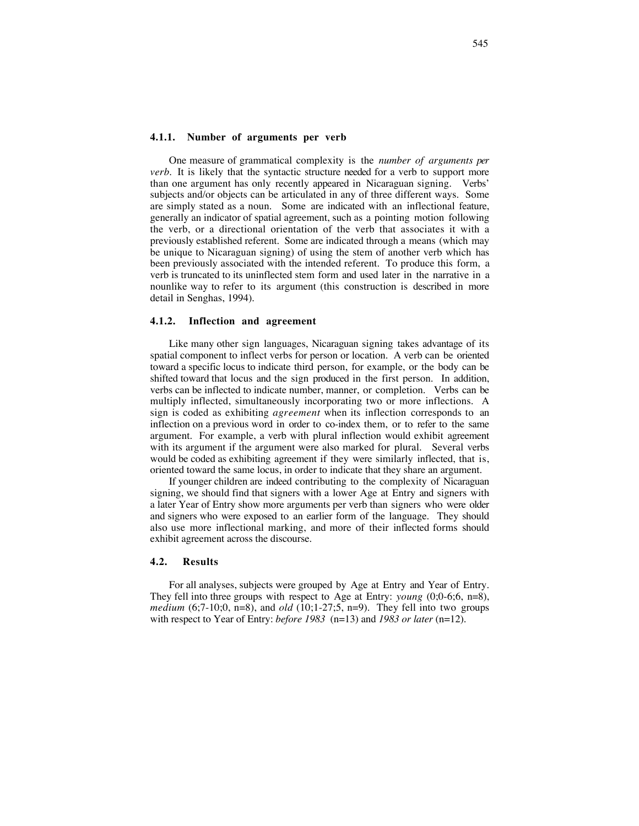One measure of grammatical complexity is the *number of arguments per verb*. It is likely that the syntactic structure needed for a verb to support more than one argument has only recently appeared in Nicaraguan signing. Verbs' subjects and/or objects can be articulated in any of three different ways. Some are simply stated as a noun. Some are indicated with an inflectional feature, generally an indicator of spatial agreement, such as a pointing motion following the verb, or a directional orientation of the verb that associates it with a previously established referent. Some are indicated through a means (which may be unique to Nicaraguan signing) of using the stem of another verb which has been previously associated with the intended referent. To produce this form, a verb is truncated to its uninflected stem form and used later in the narrative in a nounlike way to refer to its argument (this construction is described in more detail in Senghas, 1994).

### **4.1.2. Inflection and agreement**

Like many other sign languages, Nicaraguan signing takes advantage of its spatial component to inflect verbs for person or location. A verb can be oriented toward a specific locus to indicate third person, for example, or the body can be shifted toward that locus and the sign produced in the first person. In addition, verbs can be inflected to indicate number, manner, or completion. Verbs can be multiply inflected, simultaneously incorporating two or more inflections. A sign is coded as exhibiting *agreement* when its inflection corresponds to an inflection on a previous word in order to co-index them, or to refer to the same argument. For example, a verb with plural inflection would exhibit agreement with its argument if the argument were also marked for plural. Several verbs would be coded as exhibiting agreement if they were similarly inflected, that is, oriented toward the same locus, in order to indicate that they share an argument.

If younger children are indeed contributing to the complexity of Nicaraguan signing, we should find that signers with a lower Age at Entry and signers with a later Year of Entry show more arguments per verb than signers who were older and signers who were exposed to an earlier form of the language. They should also use more inflectional marking, and more of their inflected forms should exhibit agreement across the discourse.

### **4.2. Results**

For all analyses, subjects were grouped by Age at Entry and Year of Entry. They fell into three groups with respect to Age at Entry: *young* (0;0-6;6, n=8), *medium* (6;7-10;0, n=8), and *old* (10;1-27;5, n=9). They fell into two groups with respect to Year of Entry: *before 1983* (n=13) and *1983 or later* (n=12).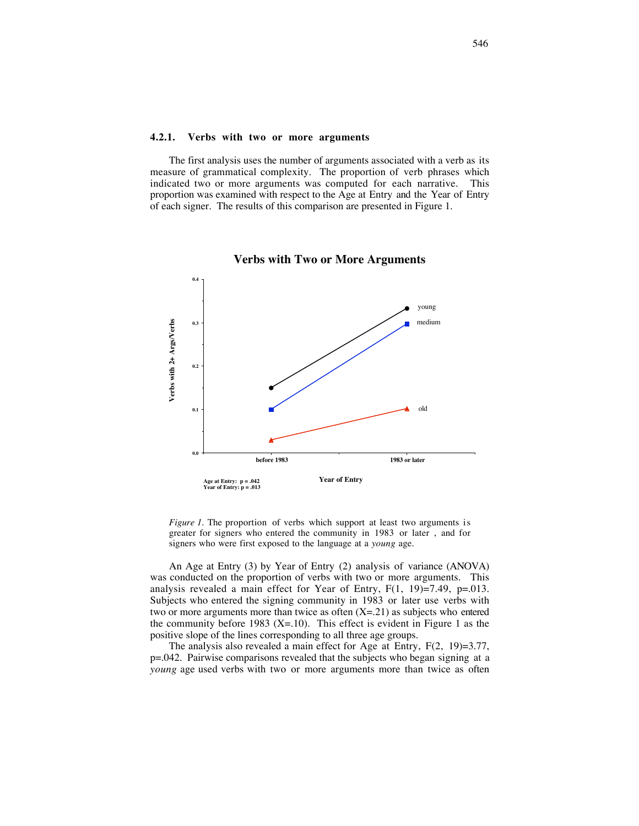### **4.2.1. Verbs with two or more arguments**

The first analysis uses the number of arguments associated with a verb as its measure of grammatical complexity. The proportion of verb phrases which indicated two or more arguments was computed for each narrative. This proportion was examined with respect to the Age at Entry and the Year of Entry of each signer. The results of this comparison are presented in Figure 1.



#### **Verbs with Two or More Arguments**

*Figure 1*. The proportion of verbs which support at least two arguments is greater for signers who entered the community in 1983 or later , and for signers who were first exposed to the language at a *young* age.

An Age at Entry (3) by Year of Entry (2) analysis of variance (ANOVA) was conducted on the proportion of verbs with two or more arguments. This analysis revealed a main effect for Year of Entry,  $F(1, 19)=7.49$ ,  $p=.013$ . Subjects who entered the signing community in 1983 or later use verbs with two or more arguments more than twice as often  $(X=21)$  as subjects who entered the community before 1983 (X=.10). This effect is evident in Figure 1 as the positive slope of the lines corresponding to all three age groups.

The analysis also revealed a main effect for Age at Entry, F(2, 19)=3.77, p=.042. Pairwise comparisons revealed that the subjects who began signing at a *young* age used verbs with two or more arguments more than twice as often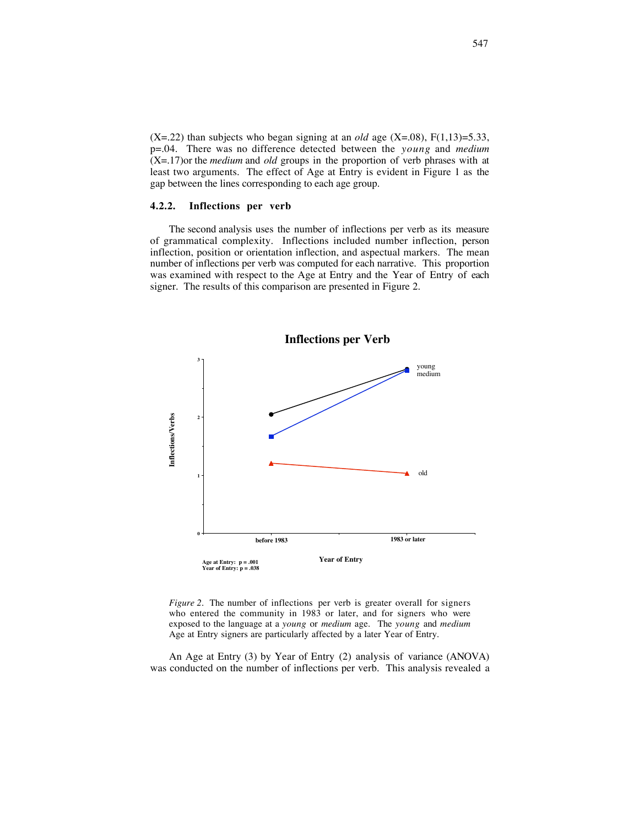$(X=.22)$  than subjects who began signing at an *old* age  $(X=.08)$ ,  $F(1,13)=5.33$ , p=.04. There was no difference detected between the *young* and *medium* (X=.17)or the *medium* and *old* groups in the proportion of verb phrases with at least two arguments. The effect of Age at Entry is evident in Figure 1 as the gap between the lines corresponding to each age group.

## **4.2.2. Inflections per verb**

The second analysis uses the number of inflections per verb as its measure of grammatical complexity. Inflections included number inflection, person inflection, position or orientation inflection, and aspectual markers. The mean number of inflections per verb was computed for each narrative. This proportion was examined with respect to the Age at Entry and the Year of Entry of each signer. The results of this comparison are presented in Figure 2.



*Figure 2.* The number of inflections per verb is greater overall for signers who entered the community in 1983 or later, and for signers who were exposed to the language at a *young* or *medium* age. The *young* and *medium* Age at Entry signers are particularly affected by a later Year of Entry.

An Age at Entry (3) by Year of Entry (2) analysis of variance (ANOVA) was conducted on the number of inflections per verb. This analysis revealed a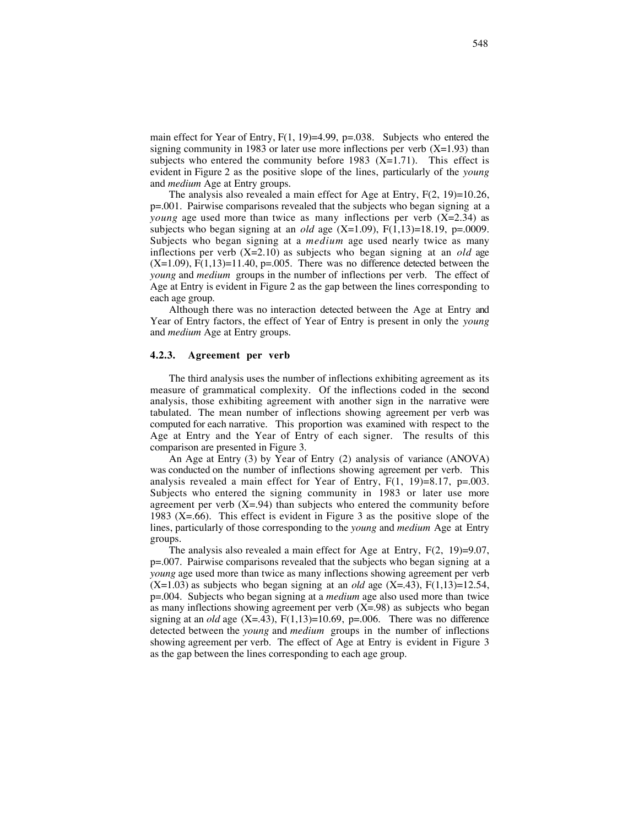main effect for Year of Entry,  $F(1, 19)=4.99$ ,  $p=.038$ . Subjects who entered the signing community in 1983 or later use more inflections per verb  $(X=1.93)$  than subjects who entered the community before  $1983$  (X=1.71). This effect is evident in Figure 2 as the positive slope of the lines, particularly of the *young* and *medium* Age at Entry groups.

The analysis also revealed a main effect for Age at Entry,  $F(2, 19)=10.26$ , p=.001. Pairwise comparisons revealed that the subjects who began signing at a *young* age used more than twice as many inflections per verb  $(X=2.34)$  as subjects who began signing at an *old* age  $(X=1.09)$ ,  $F(1,13)=18.19$ ,  $p=.0009$ . Subjects who began signing at a *medium* age used nearly twice as many inflections per verb (X=2.10) as subjects who began signing at an *old* age  $(X=1.09)$ ,  $F(1,13)=11.40$ ,  $p=.005$ . There was no difference detected between the *young* and *medium* groups in the number of inflections per verb. The effect of Age at Entry is evident in Figure 2 as the gap between the lines corresponding to each age group.

Although there was no interaction detected between the Age at Entry and Year of Entry factors, the effect of Year of Entry is present in only the *young* and *medium* Age at Entry groups.

#### **4.2.3. Agreement per verb**

The third analysis uses the number of inflections exhibiting agreement as its measure of grammatical complexity. Of the inflections coded in the second analysis, those exhibiting agreement with another sign in the narrative were tabulated. The mean number of inflections showing agreement per verb was computed for each narrative. This proportion was examined with respect to the Age at Entry and the Year of Entry of each signer. The results of this comparison are presented in Figure 3.

An Age at Entry (3) by Year of Entry (2) analysis of variance (ANOVA) was conducted on the number of inflections showing agreement per verb. This analysis revealed a main effect for Year of Entry,  $F(1, 19)=8.17$ ,  $p=.003$ . Subjects who entered the signing community in 1983 or later use more agreement per verb  $(X=0.94)$  than subjects who entered the community before 1983 (X=.66). This effect is evident in Figure 3 as the positive slope of the lines, particularly of those corresponding to the *young* and *medium* Age at Entry groups.

The analysis also revealed a main effect for Age at Entry, F(2, 19)=9.07, p=.007. Pairwise comparisons revealed that the subjects who began signing at a *young* age used more than twice as many inflections showing agreement per verb  $(X=1.03)$  as subjects who began signing at an *old* age  $(X=.43)$ ,  $F(1,13)=12.54$ , p=.004. Subjects who began signing at a *medium* age also used more than twice as many inflections showing agreement per verb  $(X=98)$  as subjects who began signing at an *old* age  $(X=.43)$ ,  $F(1,13)=10.69$ ,  $p=.006$ . There was no difference detected between the *young* and *medium* groups in the number of inflections showing agreement per verb. The effect of Age at Entry is evident in Figure 3 as the gap between the lines corresponding to each age group.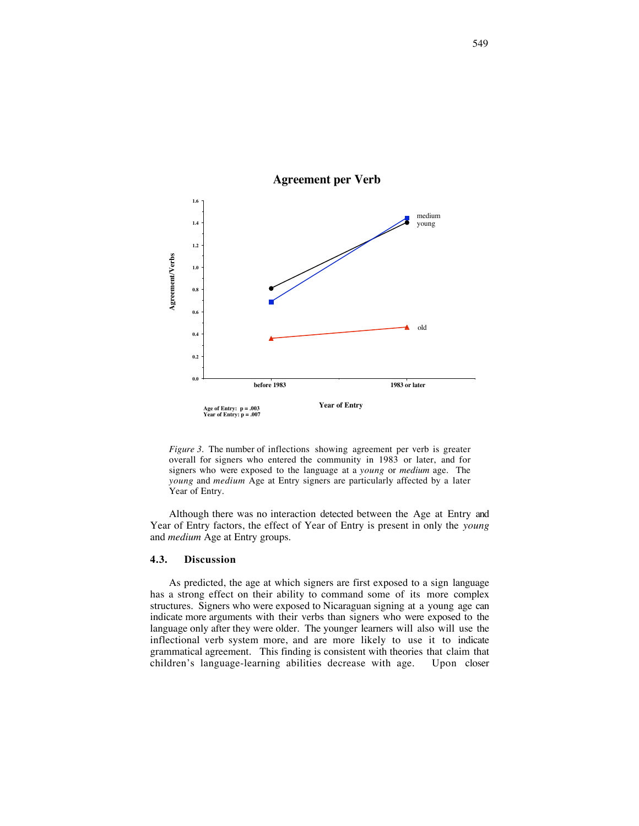

## **Agreement per Verb**

*Figure 3.* The number of inflections showing agreement per verb is greater overall for signers who entered the community in 1983 or later, and for signers who were exposed to the language at a *young* or *medium* age. The *young* and *medium* Age at Entry signers are particularly affected by a later Year of Entry.

Although there was no interaction detected between the Age at Entry and Year of Entry factors, the effect of Year of Entry is present in only the *young* and *medium* Age at Entry groups.

### **4.3. Discussion**

As predicted, the age at which signers are first exposed to a sign language has a strong effect on their ability to command some of its more complex structures. Signers who were exposed to Nicaraguan signing at a young age can indicate more arguments with their verbs than signers who were exposed to the language only after they were older. The younger learners will also will use the inflectional verb system more, and are more likely to use it to indicate grammatical agreement. This finding is consistent with theories that claim that children's language-learning abilities decrease with age. Upon closer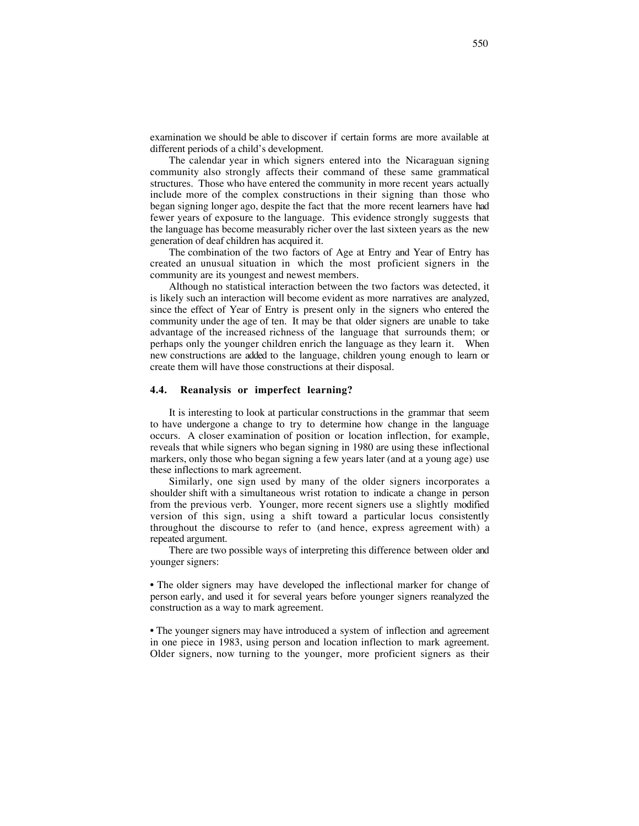examination we should be able to discover if certain forms are more available at different periods of a child's development.

The calendar year in which signers entered into the Nicaraguan signing community also strongly affects their command of these same grammatical structures. Those who have entered the community in more recent years actually include more of the complex constructions in their signing than those who began signing longer ago, despite the fact that the more recent learners have had fewer years of exposure to the language. This evidence strongly suggests that the language has become measurably richer over the last sixteen years as the new generation of deaf children has acquired it.

The combination of the two factors of Age at Entry and Year of Entry has created an unusual situation in which the most proficient signers in the community are its youngest and newest members.

Although no statistical interaction between the two factors was detected, it is likely such an interaction will become evident as more narratives are analyzed, since the effect of Year of Entry is present only in the signers who entered the community under the age of ten. It may be that older signers are unable to take advantage of the increased richness of the language that surrounds them; or perhaps only the younger children enrich the language as they learn it. When new constructions are added to the language, children young enough to learn or create them will have those constructions at their disposal.

## **4.4. Reanalysis or imperfect learning?**

It is interesting to look at particular constructions in the grammar that seem to have undergone a change to try to determine how change in the language occurs. A closer examination of position or location inflection, for example, reveals that while signers who began signing in 1980 are using these inflectional markers, only those who began signing a few years later (and at a young age) use these inflections to mark agreement.

Similarly, one sign used by many of the older signers incorporates a shoulder shift with a simultaneous wrist rotation to indicate a change in person from the previous verb. Younger, more recent signers use a slightly modified version of this sign, using a shift toward a particular locus consistently throughout the discourse to refer to (and hence, express agreement with) a repeated argument.

There are two possible ways of interpreting this difference between older and younger signers:

• The older signers may have developed the inflectional marker for change of person early, and used it for several years before younger signers reanalyzed the construction as a way to mark agreement.

• The younger signers may have introduced a system of inflection and agreement in one piece in 1983, using person and location inflection to mark agreement. Older signers, now turning to the younger, more proficient signers as their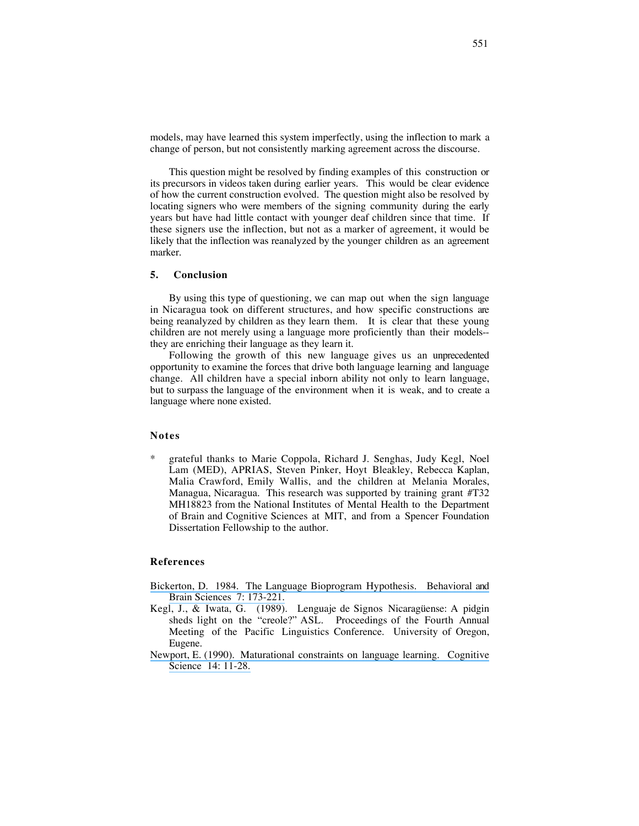models, may have learned this system imperfectly, using the inflection to mark a change of person, but not consistently marking agreement across the discourse.

This question might be resolved by finding examples of this construction or its precursors in videos taken during earlier years. This would be clear evidence of how the current construction evolved. The question might also be resolved by locating signers who were members of the signing community during the early years but have had little contact with younger deaf children since that time. If these signers use the inflection, but not as a marker of agreement, it would be likely that the inflection was reanalyzed by the younger children as an agreement marker.

## **5. Conclusion**

By using this type of questioning, we can map out when the sign language in Nicaragua took on different structures, and how specific constructions are being reanalyzed by children as they learn them. It is clear that these young children are not merely using a language more proficiently than their models- they are enriching their language as they learn it.

Following the growth of this new language gives us an unprecedented opportunity to examine the forces that drive both language learning and language change. All children have a special inborn ability not only to learn language, but to surpass the language of the environment when it is weak, and to create a language where none existed.

## **Notes**

grateful thanks to Marie Coppola, Richard J. Senghas, Judy Kegl, Noel Lam (MED), APRIAS, Steven Pinker, Hoyt Bleakley, Rebecca Kaplan, Malia Crawford, Emily Wallis, and the children at Melania Morales, Managua, Nicaragua. This research was supported by training grant #T32 MH18823 from the National Institutes of Mental Health to the Department of Brain and Cognitive Sciences at MIT, and from a Spencer Foundation Dissertation Fellowship to the author.

## **References**

- [Bickerton, D. 1984. The Language Bioprogram Hypothesis. Behavioral and](https://www.researchgate.net/publication/231787515_The_Language_bioprogram_hypothesis?el=1_x_8&enrichId=rgreq-46cde031a4e677aeb1364b187bdb0937-XXX&enrichSource=Y292ZXJQYWdlOzI2MDExODMxNztBUzoxODI2MTEyMDA3MTY4MDBAMTQyMDU0OTMxMTcyMQ==) [Brain Sciences 7: 173-221.](https://www.researchgate.net/publication/231787515_The_Language_bioprogram_hypothesis?el=1_x_8&enrichId=rgreq-46cde031a4e677aeb1364b187bdb0937-XXX&enrichSource=Y292ZXJQYWdlOzI2MDExODMxNztBUzoxODI2MTEyMDA3MTY4MDBAMTQyMDU0OTMxMTcyMQ==)
- Kegl, J., & Iwata, G. (1989). Lenguaje de Signos Nicaragüense: A pidgin sheds light on the "creole?" ASL. Proceedings of the Fourth Annual Meeting of the Pacific Linguistics Conference. University of Oregon, Eugene.
- [Newport, E. \(1990\). Maturational constraints on language learning. Cognitive](https://www.researchgate.net/publication/221950701_Maturational_Constraints_on_Language_Learning?el=1_x_8&enrichId=rgreq-46cde031a4e677aeb1364b187bdb0937-XXX&enrichSource=Y292ZXJQYWdlOzI2MDExODMxNztBUzoxODI2MTEyMDA3MTY4MDBAMTQyMDU0OTMxMTcyMQ==) [Science 14: 11-28.](https://www.researchgate.net/publication/221950701_Maturational_Constraints_on_Language_Learning?el=1_x_8&enrichId=rgreq-46cde031a4e677aeb1364b187bdb0937-XXX&enrichSource=Y292ZXJQYWdlOzI2MDExODMxNztBUzoxODI2MTEyMDA3MTY4MDBAMTQyMDU0OTMxMTcyMQ==)